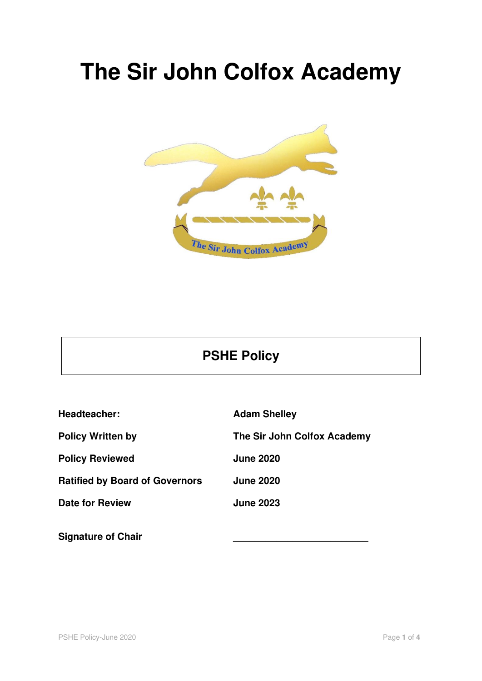# **The Sir John Colfox Academy**



### **PSHE Policy**

| Headteacher:                          | <b>Adam Shelley</b>         |
|---------------------------------------|-----------------------------|
| <b>Policy Written by</b>              | The Sir John Colfox Academy |
| <b>Policy Reviewed</b>                | <b>June 2020</b>            |
| <b>Ratified by Board of Governors</b> | <b>June 2020</b>            |
| <b>Date for Review</b>                | <b>June 2023</b>            |
| <b>Signature of Chair</b>             |                             |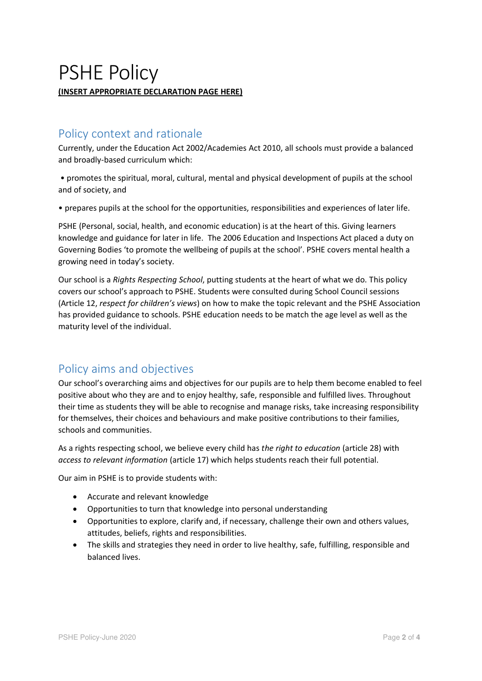## PSHE Policy **(INSERT APPROPRIATE DECLARATION PAGE HERE)**

#### Policy context and rationale

Currently, under the Education Act 2002/Academies Act 2010, all schools must provide a balanced and broadly-based curriculum which:

• promotes the spiritual, moral, cultural, mental and physical development of pupils at the school and of society, and

• prepares pupils at the school for the opportunities, responsibilities and experiences of later life.

PSHE (Personal, social, health, and economic education) is at the heart of this. Giving learners knowledge and guidance for later in life. The 2006 Education and Inspections Act placed a duty on Governing Bodies 'to promote the wellbeing of pupils at the school'. PSHE covers mental health a growing need in today's society.

Our school is a *Rights Respecting School*, putting students at the heart of what we do. This policy covers our school's approach to PSHE. Students were consulted during School Council sessions (Article 12, *respect for children's views*) on how to make the topic relevant and the PSHE Association has provided guidance to schools. PSHE education needs to be match the age level as well as the maturity level of the individual.

#### Policy aims and objectives

Our school's overarching aims and objectives for our pupils are to help them become enabled to feel positive about who they are and to enjoy healthy, safe, responsible and fulfilled lives. Throughout their time as students they will be able to recognise and manage risks, take increasing responsibility for themselves, their choices and behaviours and make positive contributions to their families, schools and communities.

As a rights respecting school, we believe every child has *the right to education* (article 28) with *access to relevant information* (article 17) which helps students reach their full potential.

Our aim in PSHE is to provide students with:

- Accurate and relevant knowledge
- Opportunities to turn that knowledge into personal understanding
- Opportunities to explore, clarify and, if necessary, challenge their own and others values, attitudes, beliefs, rights and responsibilities.
- The skills and strategies they need in order to live healthy, safe, fulfilling, responsible and balanced lives.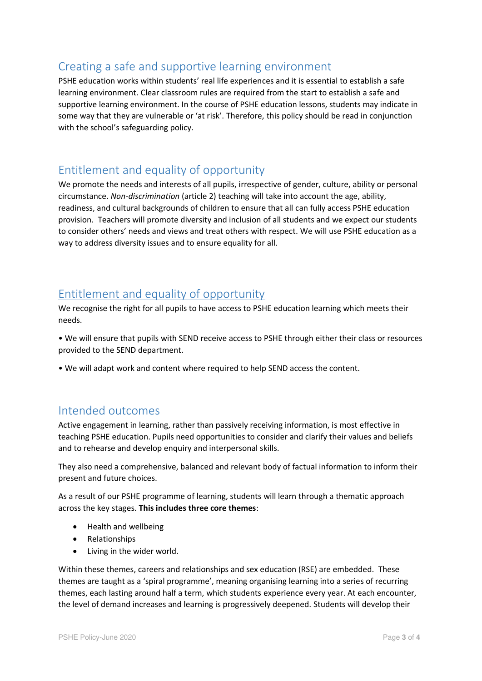#### Creating a safe and supportive learning environment

PSHE education works within students' real life experiences and it is essential to establish a safe learning environment. Clear classroom rules are required from the start to establish a safe and supportive learning environment. In the course of PSHE education lessons, students may indicate in some way that they are vulnerable or 'at risk'. Therefore, this policy should be read in conjunction with the school's safeguarding policy.

#### Entitlement and equality of opportunity

We promote the needs and interests of all pupils, irrespective of gender, culture, ability or personal circumstance. *Non-discrimination* (article 2) teaching will take into account the age, ability, readiness, and cultural backgrounds of children to ensure that all can fully access PSHE education provision. Teachers will promote diversity and inclusion of all students and we expect our students to consider others' needs and views and treat others with respect. We will use PSHE education as a way to address diversity issues and to ensure equality for all.

#### Entitlement and equality of opportunity

We recognise the right for all pupils to have access to PSHE education learning which meets their needs.

• We will ensure that pupils with SEND receive access to PSHE through either their class or resources provided to the SEND department.

• We will adapt work and content where required to help SEND access the content.

#### Intended outcomes

Active engagement in learning, rather than passively receiving information, is most effective in teaching PSHE education. Pupils need opportunities to consider and clarify their values and beliefs and to rehearse and develop enquiry and interpersonal skills.

They also need a comprehensive, balanced and relevant body of factual information to inform their present and future choices.

As a result of our PSHE programme of learning, students will learn through a thematic approach across the key stages. **This includes three core themes**:

- Health and wellbeing
- Relationships
- Living in the wider world.

Within these themes, careers and relationships and sex education (RSE) are embedded. These themes are taught as a 'spiral programme', meaning organising learning into a series of recurring themes, each lasting around half a term, which students experience every year. At each encounter, the level of demand increases and learning is progressively deepened. Students will develop their